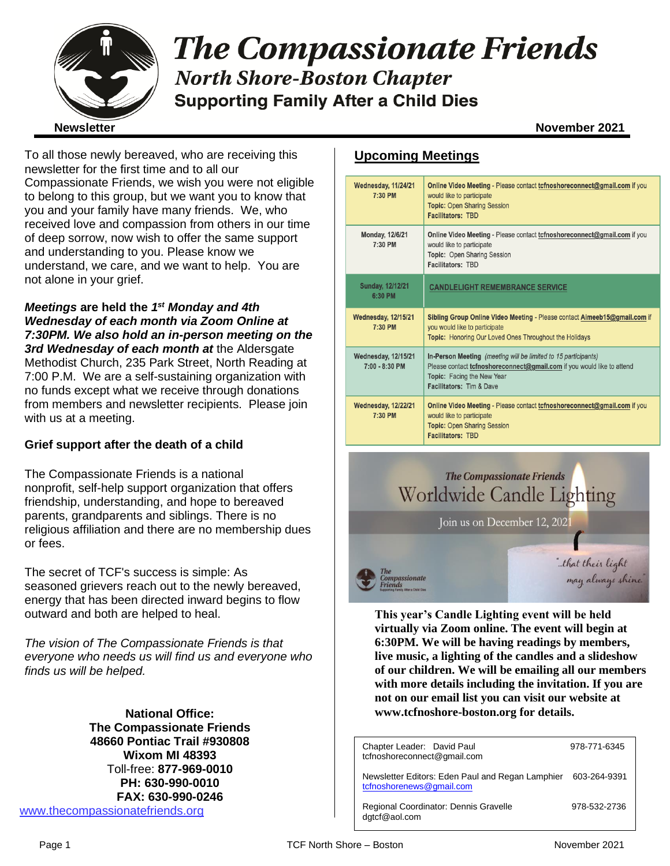

# **The Compassionate Friends North Shore-Boston Chapter Supporting Family After a Child Dies**

To all those newly bereaved, who are receiving this newsletter for the first time and to all our Compassionate Friends, we wish you were not eligible to belong to this group, but we want you to know that you and your family have many friends. We, who received love and compassion from others in our time of deep sorrow, now wish to offer the same support and understanding to you. Please know we understand, we care, and we want to help. You are not alone in your grief.

*Meetings* **are held the** *1 st Monday and 4th Wednesday of each month via Zoom Online at 7:30PM. We also hold an in-person meeting on the 3rd Wednesday of each month at* the Aldersgate Methodist Church, 235 Park Street, North Reading at 7:00 P.M. We are a self-sustaining organization with no funds except what we receive through donations from members and newsletter recipients. Please join with us at a meeting.

## **Grief support after the death of a child**

The Compassionate Friends is a national nonprofit, self-help support organization that offers friendship, understanding, and hope to bereaved parents, grandparents and siblings. There is no religious affiliation and there are no membership dues or fees.

The secret of TCF's success is simple: As seasoned grievers reach out to the newly bereaved, energy that has been directed inward begins to flow outward and both are helped to heal.

*The vision of The Compassionate Friends is that everyone who needs us will find us and everyone who finds us will be helped.*

**National Office: The Compassionate Friends 48660 Pontiac Trail #930808 Wixom MI 48393** Toll-free: **877-969-0010 PH: 630-990-0010 FAX: 630-990-0246** [www.thecompassionatefriends.org](http://www.thecompassionatefriends.org/)

## **Upcoming Meetings**

| <b>Wednesday, 11/24/21</b><br>7:30 PM        | Online Video Meeting - Please contact tcfnoshoreconnect@gmail.com if you<br>would like to participate<br><b>Topic: Open Sharing Session</b><br><b>Facilitators: TBD</b>                            |
|----------------------------------------------|----------------------------------------------------------------------------------------------------------------------------------------------------------------------------------------------------|
| Monday, 12/6/21<br>7:30 PM                   | Online Video Meeting - Please contact to fnoshore connect@gmail.com if you<br>would like to participate<br>Topic: Open Sharing Session<br><b>Facilitators: TBD</b>                                 |
| <b>Sunday, 12/12/21</b><br>6:30 PM           | <b>CANDLELIGHT REMEMBRANCE SERVICE</b>                                                                                                                                                             |
| <b>Wednesday, 12/15/21</b><br>7:30 PM        | Sibling Group Online Video Meeting - Please contact Aimeeb15@gmail.com if<br>you would like to participate<br><b>Topic:</b> Honoring Our Loved Ones Throughout the Holidays                        |
| <b>Wednesday, 12/15/21</b><br>7:00 - 8:30 PM | In-Person Meeting (meeting will be limited to 15 participants)<br>Please contact tcfnoshoreconnect@gmail.com if you would like to attend<br>Topic: Facing the New Year<br>Facilitators: Tim & Dave |
| <b>Wednesday, 12/22/21</b><br>7:30 PM        | <b>Online Video Meeting - Please contact tofnoshoreconnect@gmail.com if you</b><br>would like to participate<br><b>Topic: Open Sharing Session</b><br><b>Facilitators: TBD</b>                     |



**This year's Candle Lighting event will be held virtually via Zoom online. The event will begin at 6:30PM. We will be having readings by members, live music, a lighting of the candles and a slideshow of our children. We will be emailing all our members with more details including the invitation. If you are not on our email list you can visit our website at www.tcfnoshore-boston.org for details.**

| Chapter Leader: David Paul<br>tcfnoshoreconnect@gmail.com                    | 978-771-6345 |
|------------------------------------------------------------------------------|--------------|
| Newsletter Editors: Eden Paul and Regan Lamphier<br>tcfnoshorenews@gmail.com | 603-264-9391 |
| Regional Coordinator: Dennis Gravelle<br>dgtcf@aol.com                       | 978-532-2736 |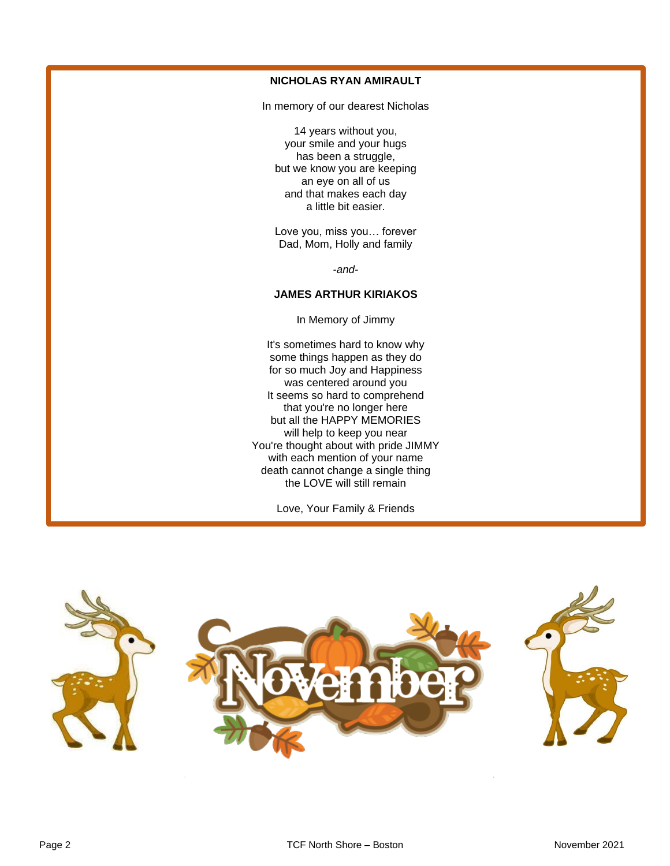### **NICHOLAS RYAN AMIRAULT**

In memory of our dearest Nicholas

14 years without you, your smile and your hugs has been a struggle, but we know you are keeping an eye on all of us and that makes each day a little bit easier.

Love you, miss you… forever Dad, Mom, Holly and family

*-and-*

#### **JAMES ARTHUR KIRIAKOS**

In Memory of Jimmy

It's sometimes hard to know why some things happen as they do for so much Joy and Happiness was centered around you It seems so hard to comprehend that you're no longer here but all the HAPPY MEMORIES will help to keep you near You're thought about with pride JIMMY with each mention of your name death cannot change a single thing the LOVE will still remain

Love, Your Family & Friends

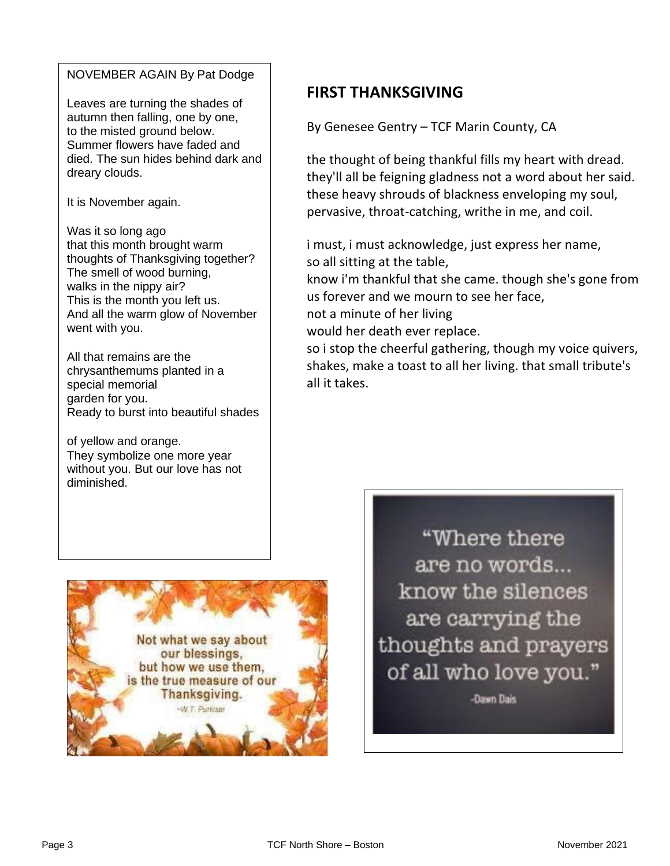## NOVEMBER AGAIN By Pat Dodge

Leaves are turning the shades of autumn then falling, one by one,<br>to the misted ground below. Summer flowers have faded and<br>died. The sun hides behind dark and to the misted ground below. Summer flowers have faded and dreary clouds.

It is November again.

**thoughts of Thanksgiving together?**<br>The amall of wead burning This is the month you left us.<br>And all the warm glow of November Was it so long ago that this month brought warm The smell of wood burning, walks in the nippy air? This is the month you left us. went with you.

 Ready to burst into beautiful shades All that remains are the chrysanthemums planted in a special memorial garden for you.

They symbolize one more year<br>without you. But our love has not of yellow and orange. They symbolize one more year diminished.



By Genesee Gentry – TCF Marin County, CA

the thought of being thankful fills my heart with dread. they'll all be feigning gladness not a word about her said. these heavy shrouds of blackness enveloping my soul, pervasive, throat-catching, writhe in me, and coil.

i must, i must acknowledge, just express her name, so all sitting at the table,

know i'm thankful that she came. though she's gone from us forever and we mourn to see her face,

not a minute of her living

would her death ever replace.

so i stop the cheerful gathering, though my voice quivers, shakes, make a toast to all her living. that small tribute's all it takes.



"Where there are no words... know the silences are carrying the thoughts and prayers of all who love you."

-Dawn Dais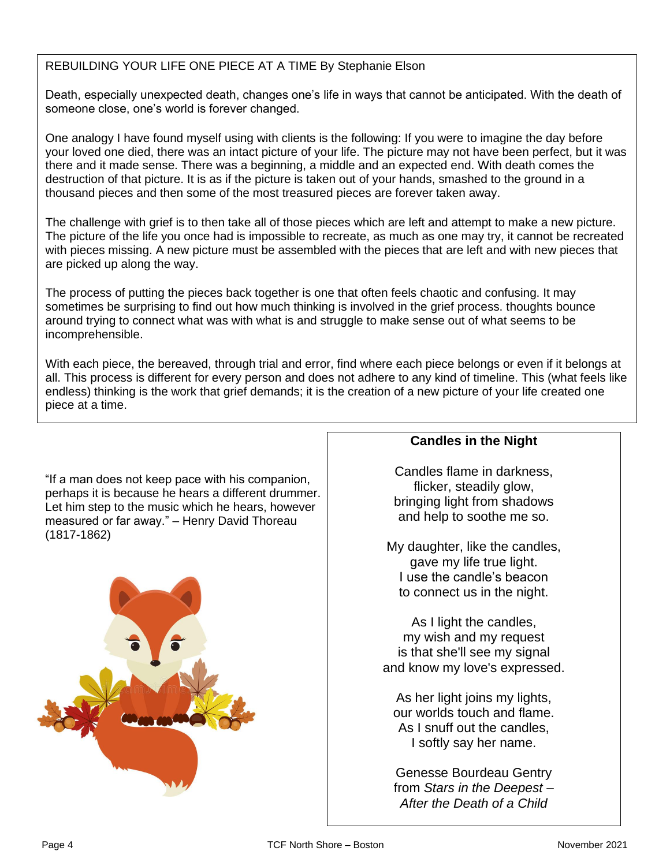## REBUILDING YOUR LIFE ONE PIECE AT A TIME By Stephanie Elson

 Death, especially unexpected death, changes one's life in ways that cannot be anticipated. With the death of  someone close, one's world is forever changed.

 One analogy I have found myself using with clients is the following: If you were to imagine the day before  your loved one died, there was an intact picture of your life. The picture may not have been perfect, but it was tnere and it made sense. There was a beginning, a middle and an expected end. With death comes th<br>destruction of that picture. It is as if the picture is taken out of your hands, smashed to the ground in a  thousand pieces and then some of the most treasured pieces are forever taken away. there and it made sense. There was a beginning, a middle and an expected end. With death comes the

 The challenge with grief is to then take all of those pieces which are left and attempt to make a new picture. The picture of the life you once had is impossible to recreate, as much as one may try, it cannot be recreated<br>with pieces missing. A new picture must be essembled with the pieces that are left and with new pieces that with pieces missing. A new picture must be assembled with the pieces that are left and with new pieces that<br>are picked up along the way. are picked up along the way.

 The process of putting the pieces back together is one that often feels chaotic and confusing. It may In the process of patting the process stack together to one that chemically shadily and companing it may sometimes be surprising to find out how much thinking is involved in the grief process. thoughts bounce around trying to connect what was with what is and struggle to make sense out of what seems to be<br>incomprehensible. incomprehensible.

ννιτη eacn piece, τηe pereaved, τητοugn τηaι and error, τιnd wnere eacn piece pelongs or even if it pelongs at<br>all. This process is different for every person and does not adhere to any kind of timeline. This (what feels endless) thinking is the work that grief demands; it is the creation of a new picture of your life created one<br>niese at a time  With each piece, the bereaved, through trial and error, find where each piece belongs or even if it belongs at piece at a time.

 Let him step to the music which he hears, however measured or far away." – Henry David Thoreau<br>(1817-1862) "If a man does not keep pace with his companion, perhaps it is because he hears a different drummer. (1817-1862)



## **Candles in the Night**

Candles flame in darkness, flicker, steadily glow, bringing light from shadows and help to soothe me so.

My daughter, like the candles, gave my life true light. I use the candle's beacon to connect us in the night.

As I light the candles, my wish and my request is that she'll see my signal and know my love's expressed.

As her light joins my lights, our worlds touch and flame. As I snuff out the candles, I softly say her name.

Genesse Bourdeau Gentry from *Stars in the Deepest – After the Death of a Child*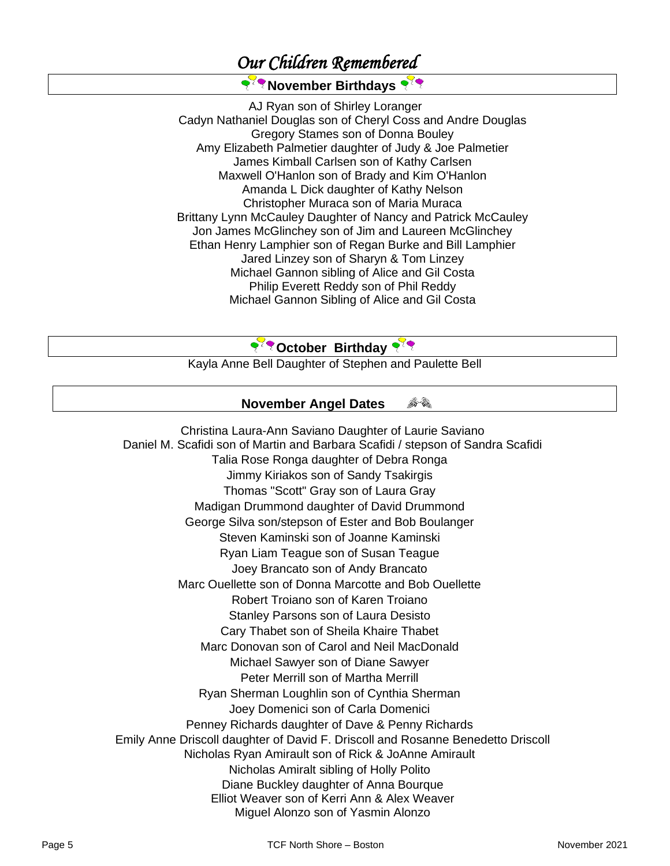## *Our Children Remembered*

## **२<sup>२</sup>? November Birthdays**

AJ Ryan son of Shirley Loranger Cadyn Nathaniel Douglas son of Cheryl Coss and Andre Douglas Gregory Stames son of Donna Bouley Amy Elizabeth Palmetier daughter of Judy & Joe Palmetier James Kimball Carlsen son of Kathy Carlsen Maxwell O'Hanlon son of Brady and Kim O'Hanlon Amanda L Dick daughter of Kathy Nelson Christopher Muraca son of Maria Muraca Brittany Lynn McCauley Daughter of Nancy and Patrick McCauley Jon James McGlinchey son of Jim and Laureen McGlinchey Ethan Henry Lamphier son of Regan Burke and Bill Lamphier Jared Linzey son of Sharyn & Tom Linzey Michael Gannon sibling of Alice and Gil Costa Philip Everett Reddy son of Phil Reddy Michael Gannon Sibling of Alice and Gil Costa

## **Proposition** Birthday

Kayla Anne Bell Daughter of Stephen and Paulette Bell

#### 合作 **November Angel Dates**

Christina Laura-Ann Saviano Daughter of Laurie Saviano Daniel M. Scafidi son of Martin and Barbara Scafidi / stepson of Sandra Scafidi Talia Rose Ronga daughter of Debra Ronga Jimmy Kiriakos son of Sandy Tsakirgis Thomas "Scott" Gray son of Laura Gray Madigan Drummond daughter of David Drummond George Silva son/stepson of Ester and Bob Boulanger Steven Kaminski son of Joanne Kaminski Ryan Liam Teague son of Susan Teague Joey Brancato son of Andy Brancato Marc Ouellette son of Donna Marcotte and Bob Ouellette Robert Troiano son of Karen Troiano Stanley Parsons son of Laura Desisto Cary Thabet son of Sheila Khaire Thabet Marc Donovan son of Carol and Neil MacDonald Michael Sawyer son of Diane Sawyer Peter Merrill son of Martha Merrill Ryan Sherman Loughlin son of Cynthia Sherman Joey Domenici son of Carla Domenici Penney Richards daughter of Dave & Penny Richards Emily Anne Driscoll daughter of David F. Driscoll and Rosanne Benedetto Driscoll Nicholas Ryan Amirault son of Rick & JoAnne Amirault Nicholas Amiralt sibling of Holly Polito Diane Buckley daughter of Anna Bourque Elliot Weaver son of Kerri Ann & Alex Weaver Miguel Alonzo son of Yasmin Alonzo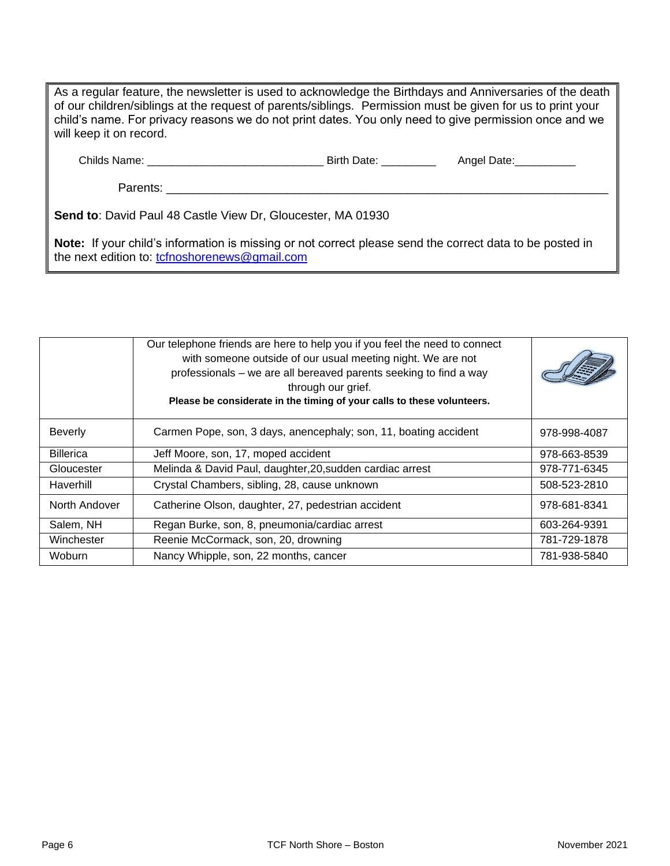| As a regular feature, the newsletter is used to acknowledge the Birthdays and Anniversaries of the death  <br>of our children/siblings at the request of parents/siblings. Permission must be given for us to print your<br>child's name. For privacy reasons we do not print dates. You only need to give permission once and we<br>will keep it on record. |  |  |  |  |  |
|--------------------------------------------------------------------------------------------------------------------------------------------------------------------------------------------------------------------------------------------------------------------------------------------------------------------------------------------------------------|--|--|--|--|--|
|                                                                                                                                                                                                                                                                                                                                                              |  |  |  |  |  |
| Parents: _________                                                                                                                                                                                                                                                                                                                                           |  |  |  |  |  |
| Send to: David Paul 48 Castle View Dr, Gloucester, MA 01930                                                                                                                                                                                                                                                                                                  |  |  |  |  |  |
| Note: If your child's information is missing or not correct please send the correct data to be posted in                                                                                                                                                                                                                                                     |  |  |  |  |  |

**Note:** If your child's information is missing or not correct please send the correct data to be posted in the next edition to: [tcfnoshorenews@gmail.com](mailto:tcfnoshorenews@gmail.com)

|                  | Our telephone friends are here to help you if you feel the need to connect<br>with someone outside of our usual meeting night. We are not<br>professionals – we are all bereaved parents seeking to find a way<br>through our grief.<br>Please be considerate in the timing of your calls to these volunteers. |              |
|------------------|----------------------------------------------------------------------------------------------------------------------------------------------------------------------------------------------------------------------------------------------------------------------------------------------------------------|--------------|
| <b>Beverly</b>   | Carmen Pope, son, 3 days, anencephaly; son, 11, boating accident                                                                                                                                                                                                                                               | 978-998-4087 |
| <b>Billerica</b> | Jeff Moore, son, 17, moped accident                                                                                                                                                                                                                                                                            | 978-663-8539 |
| Gloucester       | Melinda & David Paul, daughter, 20, sudden cardiac arrest                                                                                                                                                                                                                                                      | 978-771-6345 |
| Haverhill        | Crystal Chambers, sibling, 28, cause unknown                                                                                                                                                                                                                                                                   | 508-523-2810 |
| North Andover    | Catherine Olson, daughter, 27, pedestrian accident                                                                                                                                                                                                                                                             | 978-681-8341 |
| Salem, NH        | Regan Burke, son, 8, pneumonia/cardiac arrest                                                                                                                                                                                                                                                                  | 603-264-9391 |
| Winchester       | Reenie McCormack, son, 20, drowning                                                                                                                                                                                                                                                                            | 781-729-1878 |
| <b>Woburn</b>    | Nancy Whipple, son, 22 months, cancer                                                                                                                                                                                                                                                                          | 781-938-5840 |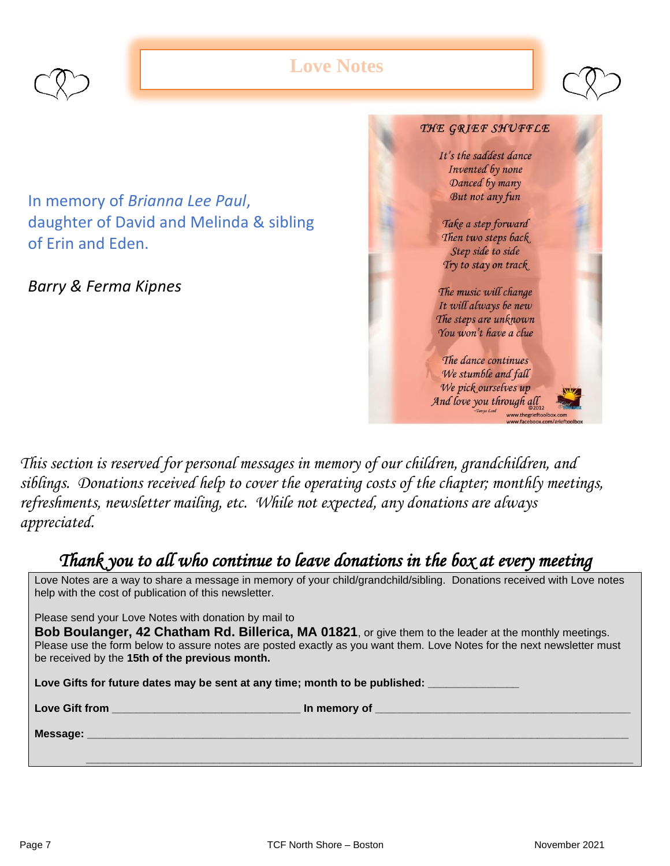

## **Love Notes**



In memory of *Brianna Lee Paul*, daughter of David and Melinda & sibling of Erin and Eden.

*Barry & Ferma Kipnes*



*This section is reserved for personal messages in memory of our children, grandchildren, and siblings. Donations received help to cover the operating costs of the chapter; monthly meetings, refreshments, newsletter mailing, etc. While not expected, any donations are always appreciated.*

## *Thank you to all who continue to leave donations in the box at every meeting*

Love Notes are a way to share a message in memory of your child/grandchild/sibling. Donations received with Love notes help with the cost of publication of this newsletter.

Please send your Love Notes with donation by mail to

**Bob Boulanger, 42 Chatham Rd. Billerica, MA 01821**, or give them to the leader at the monthly meetings. Please use the form below to assure notes are posted exactly as you want them. Love Notes for the next newsletter must be received by the **15th of the previous month.** 

Love Gifts for future dates may be sent at any time; month to be published: \_\_\_\_

**Love Gift from \_\_\_\_\_\_\_\_\_\_\_\_\_\_\_\_\_\_\_\_\_\_\_\_\_\_\_\_\_\_\_ In memory of \_\_\_\_\_\_\_\_\_\_\_\_\_\_\_\_\_\_\_\_\_\_\_\_\_\_\_\_\_\_\_\_\_\_\_\_\_\_\_\_\_\_**

 **\_\_\_\_\_\_\_\_\_\_\_\_\_\_\_\_\_\_\_\_\_\_\_\_\_\_\_\_\_\_\_\_\_\_\_\_\_\_\_\_\_\_\_\_\_\_\_\_\_\_\_\_\_\_\_\_\_\_\_\_\_\_\_\_\_\_\_\_\_\_\_\_\_\_\_\_\_\_\_\_\_\_\_\_\_\_\_\_\_\_**

**Message: \_\_\_\_\_\_\_\_\_\_\_\_\_\_\_\_\_\_\_\_\_\_\_\_\_\_\_\_\_\_\_\_\_\_\_\_\_\_\_\_\_\_\_\_\_\_\_\_\_\_\_\_\_\_\_\_\_\_\_\_\_\_\_\_\_\_\_\_\_\_\_\_\_\_\_\_\_\_\_\_\_\_\_\_\_\_\_\_\_**